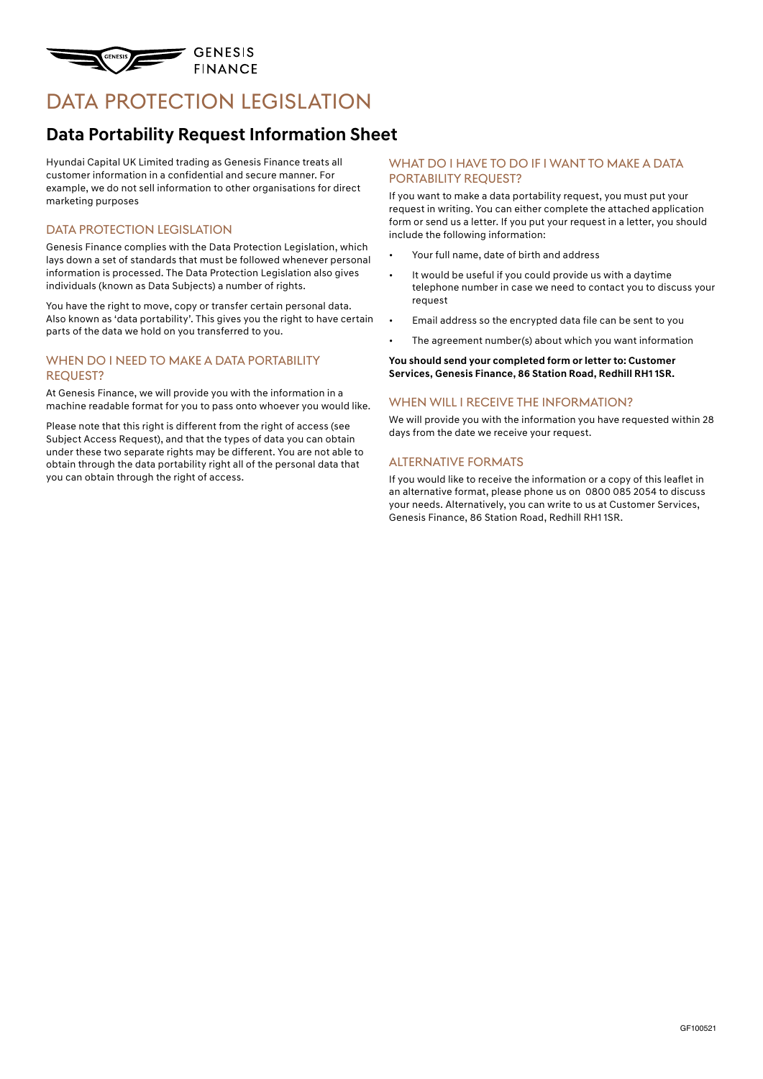

# DATA PROTECTION LEGISLATION

# **Data Portability Request Information Sheet**

Hyundai Capital UK Limited trading as Genesis Finance treats all customer information in a confidential and secure manner. For example, we do not sell information to other organisations for direct marketing purposes

#### DATA PROTECTION LEGISLATION

Genesis Finance complies with the Data Protection Legislation, which lays down a set of standards that must be followed whenever personal information is processed. The Data Protection Legislation also gives individuals (known as Data Subjects) a number of rights.

You have the right to move, copy or transfer certain personal data. Also known as 'data portability'. This gives you the right to have certain parts of the data we hold on you transferred to you.

#### WHEN DO I NEED TO MAKE A DATA PORTABILITY request?

At Genesis Finance, we will provide you with the information in a machine readable format for you to pass onto whoever you would like.

Please note that this right is different from the right of access (see Subject Access Request), and that the types of data you can obtain under these two separate rights may be different. You are not able to obtain through the data portability right all of the personal data that you can obtain through the right of access.

#### WHAT DO I HAVE TO DO IF I WANT TO MAKE A DATA PORTABILITY REQUEST?

If you want to make a data portability request, you must put your request in writing. You can either complete the attached application form or send us a letter. If you put your request in a letter, you should include the following information:

- Your full name, date of birth and address
- It would be useful if you could provide us with a daytime telephone number in case we need to contact you to discuss your request
- Email address so the encrypted data file can be sent to you
- The agreement number(s) about which you want information

**You should send your completed form or letter to: Customer Services, Genesis Finance, 86 Station Road, Redhill RH1 1SR.** 

#### WHEN WILL I RECEIVE THE INFORMATION?

We will provide you with the information you have requested within 28 days from the date we receive your request.

#### Alternative formats

If you would like to receive the information or a copy of this leaflet in an alternative format, please phone us on 0800 085 2054 to discuss your needs. Alternatively, you can write to us at Customer Services, Genesis Finance, 86 Station Road, Redhill RH1 1SR.